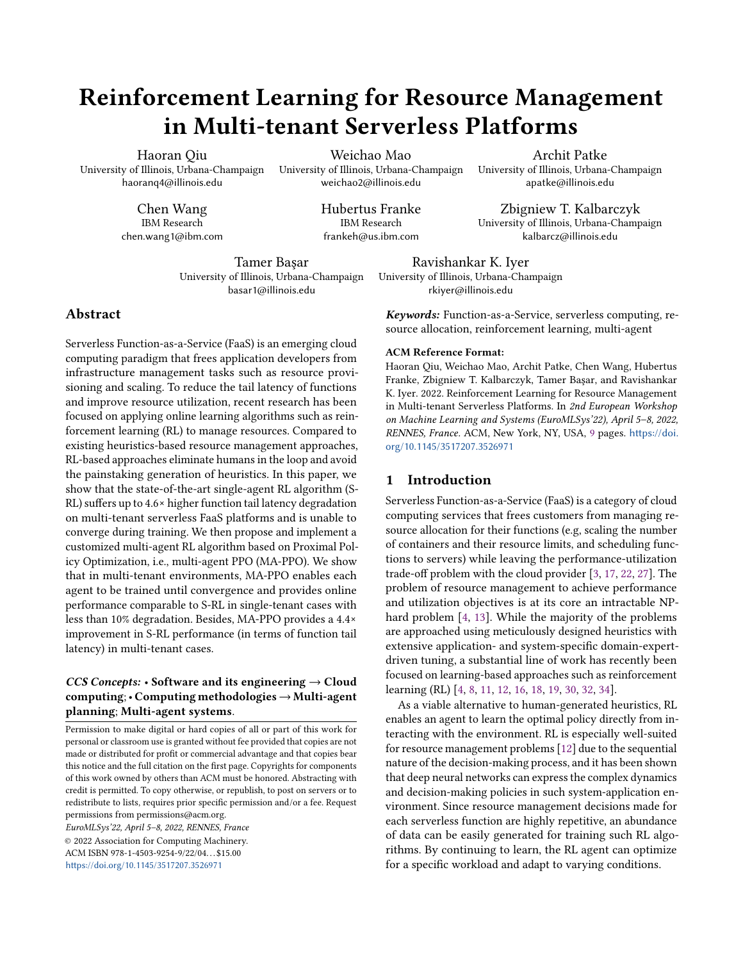# Reinforcement Learning for Resource Management in Multi-tenant Serverless Platforms

Haoran Qiu

University of Illinois, Urbana-Champaign haoranq4@illinois.edu

> Chen Wang IBM Research chen.wang1@ibm.com

Weichao Mao University of Illinois, Urbana-Champaign weichao2@illinois.edu

> Hubertus Franke IBM Research frankeh@us.ibm.com

Tamer Başar University of Illinois, Urbana-Champaign basar1@illinois.edu

Ravishankar K. Iyer

Abstract

Serverless Function-as-a-Service (FaaS) is an emerging cloud computing paradigm that frees application developers from infrastructure management tasks such as resource provisioning and scaling. To reduce the tail latency of functions and improve resource utilization, recent research has been focused on applying online learning algorithms such as reinforcement learning (RL) to manage resources. Compared to existing heuristics-based resource management approaches, RL-based approaches eliminate humans in the loop and avoid the painstaking generation of heuristics. In this paper, we show that the state-of-the-art single-agent RL algorithm (S-RL) suffers up to 4.6× higher function tail latency degradation on multi-tenant serverless FaaS platforms and is unable to converge during training. We then propose and implement a customized multi-agent RL algorithm based on Proximal Policy Optimization, i.e., multi-agent PPO (MA-PPO). We show that in multi-tenant environments, MA-PPO enables each agent to be trained until convergence and provides online performance comparable to S-RL in single-tenant cases with less than 10% degradation. Besides, MA-PPO provides a 4.4× improvement in S-RL performance (in terms of function tail latency) in multi-tenant cases.

# CCS Concepts: • Software and its engineering  $\rightarrow$  Cloud computing;• Computing methodologies→Multi-agent planning; Multi-agent systems.

Permission to make digital or hard copies of all or part of this work for personal or classroom use is granted without fee provided that copies are not made or distributed for profit or commercial advantage and that copies bear this notice and the full citation on the first page. Copyrights for components of this work owned by others than ACM must be honored. Abstracting with credit is permitted. To copy otherwise, or republish, to post on servers or to redistribute to lists, requires prior specific permission and/or a fee. Request permissions from permissions@acm.org.

EuroMLSys'22, April 5–8, 2022, RENNES, France

© 2022 Association for Computing Machinery. ACM ISBN 978-1-4503-9254-9/22/04. . . \$15.00 <https://doi.org/10.1145/3517207.3526971>

University of Illinois, Urbana-Champaign rkiyer@illinois.edu

Keywords: Function-as-a-Service, serverless computing, resource allocation, reinforcement learning, multi-agent

Archit Patke University of Illinois, Urbana-Champaign apatke@illinois.edu

Zbigniew T. Kalbarczyk University of Illinois, Urbana-Champaign kalbarcz@illinois.edu

## ACM Reference Format:

Haoran Qiu, Weichao Mao, Archit Patke, Chen Wang, Hubertus Franke, Zbigniew T. Kalbarczyk, Tamer Başar, and Ravishankar K. Iyer. 2022. Reinforcement Learning for Resource Management in Multi-tenant Serverless Platforms. In 2nd European Workshop on Machine Learning and Systems (EuroMLSys'22), April 5–8, 2022, RENNES, France. ACM, New York, NY, USA, [9](#page-8-0) pages. [https://doi.](https://doi.org/10.1145/3517207.3526971) [org/10.1145/3517207.3526971](https://doi.org/10.1145/3517207.3526971)

# 1 Introduction

Serverless Function-as-a-Service (FaaS) is a category of cloud computing services that frees customers from managing resource allocation for their functions (e.g, scaling the number of containers and their resource limits, and scheduling functions to servers) while leaving the performance-utilization trade-off problem with the cloud provider [\[3,](#page-7-0) [17,](#page-8-1) [22,](#page-8-2) [27\]](#page-8-3). The problem of resource management to achieve performance and utilization objectives is at its core an intractable NPhard problem [\[4,](#page-7-1) [13\]](#page-8-4). While the majority of the problems are approached using meticulously designed heuristics with extensive application- and system-specific domain-expertdriven tuning, a substantial line of work has recently been focused on learning-based approaches such as reinforcement learning (RL) [\[4,](#page-7-1) [8,](#page-8-5) [11,](#page-8-6) [12,](#page-8-7) [16,](#page-8-8) [18,](#page-8-9) [19,](#page-8-10) [30,](#page-8-11) [32,](#page-8-12) [34\]](#page-8-13).

As a viable alternative to human-generated heuristics, RL enables an agent to learn the optimal policy directly from interacting with the environment. RL is especially well-suited for resource management problems [\[12\]](#page-8-7) due to the sequential nature of the decision-making process, and it has been shown that deep neural networks can express the complex dynamics and decision-making policies in such system-application environment. Since resource management decisions made for each serverless function are highly repetitive, an abundance of data can be easily generated for training such RL algorithms. By continuing to learn, the RL agent can optimize for a specific workload and adapt to varying conditions.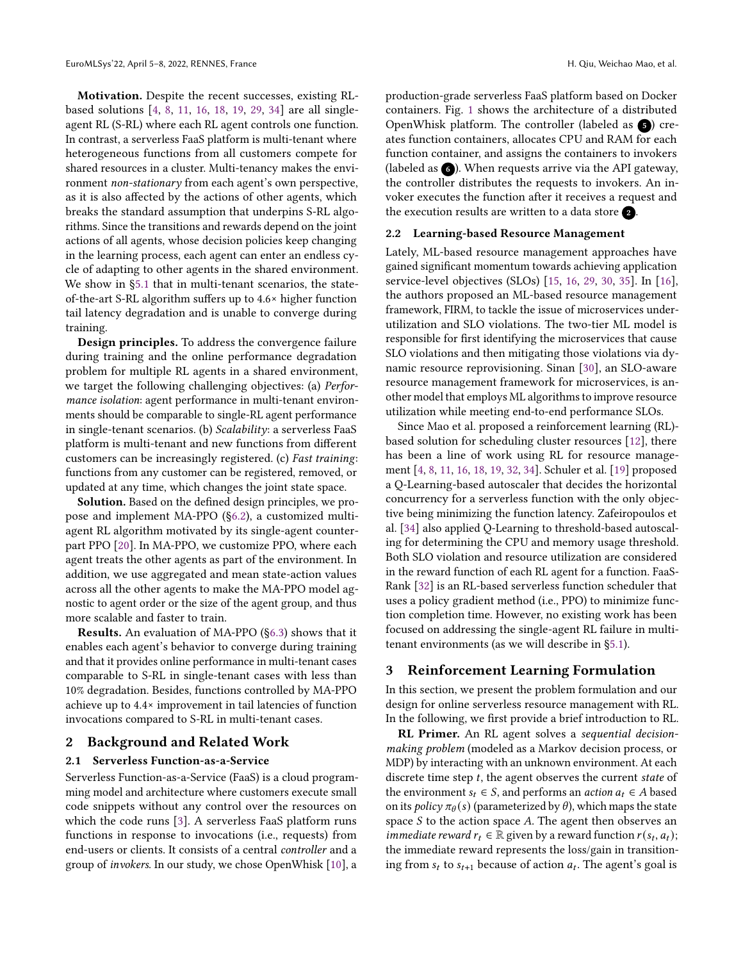Motivation. Despite the recent successes, existing RLbased solutions [\[4,](#page-7-1) [8,](#page-8-5) [11,](#page-8-6) [16,](#page-8-8) [18,](#page-8-9) [19,](#page-8-10) [29,](#page-8-14) [34\]](#page-8-13) are all singleagent RL (S-RL) where each RL agent controls one function. In contrast, a serverless FaaS platform is multi-tenant where heterogeneous functions from all customers compete for shared resources in a cluster. Multi-tenancy makes the environment non-stationary from each agent's own perspective, as it is also affected by the actions of other agents, which breaks the standard assumption that underpins S-RL algorithms. Since the transitions and rewards depend on the joint actions of all agents, whose decision policies keep changing in the learning process, each agent can enter an endless cycle of adapting to other agents in the shared environment. We show in [§5.1](#page-3-0) that in multi-tenant scenarios, the stateof-the-art S-RL algorithm suffers up to 4.6× higher function tail latency degradation and is unable to converge during training.

Design principles. To address the convergence failure during training and the online performance degradation problem for multiple RL agents in a shared environment, we target the following challenging objectives: (a) Performance isolation: agent performance in multi-tenant environments should be comparable to single-RL agent performance in single-tenant scenarios. (b) Scalability: a serverless FaaS platform is multi-tenant and new functions from different customers can be increasingly registered. (c) Fast training: functions from any customer can be registered, removed, or updated at any time, which changes the joint state space.

Solution. Based on the defined design principles, we propose and implement MA-PPO ([§6.2\)](#page-5-0), a customized multiagent RL algorithm motivated by its single-agent counterpart PPO [\[20\]](#page-8-15). In MA-PPO, we customize PPO, where each agent treats the other agents as part of the environment. In addition, we use aggregated and mean state-action values across all the other agents to make the MA-PPO model agnostic to agent order or the size of the agent group, and thus more scalable and faster to train.

Results. An evaluation of MA-PPO ([§6.3\)](#page-5-1) shows that it enables each agent's behavior to converge during training and that it provides online performance in multi-tenant cases comparable to S-RL in single-tenant cases with less than 10% degradation. Besides, functions controlled by MA-PPO achieve up to 4.4× improvement in tail latencies of function invocations compared to S-RL in multi-tenant cases.

## 2 Background and Related Work

# 2.1 Serverless Function-as-a-Service

Serverless Function-as-a-Service (FaaS) is a cloud programming model and architecture where customers execute small code snippets without any control over the resources on which the code runs [\[3\]](#page-7-0). A serverless FaaS platform runs functions in response to invocations (i.e., requests) from end-users or clients. It consists of a central controller and a group of invokers. In our study, we chose OpenWhisk [\[10\]](#page-8-16), a

production-grade serverless FaaS platform based on Docker containers. Fig. [1](#page-2-0) shows the architecture of a distributed OpenWhisk platform. The controller (labeled as  $\bullet$ ) creates function containers, allocates CPU and RAM for each function container, and assigns the containers to invokers (labeled as  $\bigcirc$ ). When requests arrive via the API gateway, the controller distributes the requests to invokers. An invoker executes the function after it receives a request and the execution results are written to a data store  $\bullet$ .

## 2.2 Learning-based Resource Management

Lately, ML-based resource management approaches have gained significant momentum towards achieving application service-level objectives (SLOs) [\[15,](#page-8-17) [16,](#page-8-8) [29,](#page-8-14) [30,](#page-8-11) [35\]](#page-8-18). In [\[16\]](#page-8-8), the authors proposed an ML-based resource management framework, FIRM, to tackle the issue of microservices underutilization and SLO violations. The two-tier ML model is responsible for first identifying the microservices that cause SLO violations and then mitigating those violations via dynamic resource reprovisioning. Sinan [\[30\]](#page-8-11), an SLO-aware resource management framework for microservices, is another model that employs ML algorithms to improve resource utilization while meeting end-to-end performance SLOs.

Since Mao et al. proposed a reinforcement learning (RL) based solution for scheduling cluster resources [\[12\]](#page-8-7), there has been a line of work using RL for resource management [\[4,](#page-7-1) [8,](#page-8-5) [11,](#page-8-6) [16,](#page-8-8) [18,](#page-8-9) [19,](#page-8-10) [32,](#page-8-12) [34\]](#page-8-13). Schuler et al. [\[19\]](#page-8-10) proposed a Q-Learning-based autoscaler that decides the horizontal concurrency for a serverless function with the only objective being minimizing the function latency. Zafeiropoulos et al. [\[34\]](#page-8-13) also applied Q-Learning to threshold-based autoscaling for determining the CPU and memory usage threshold. Both SLO violation and resource utilization are considered in the reward function of each RL agent for a function. FaaS-Rank [\[32\]](#page-8-12) is an RL-based serverless function scheduler that uses a policy gradient method (i.e., PPO) to minimize function completion time. However, no existing work has been focused on addressing the single-agent RL failure in multitenant environments (as we will describe in [§5.1\)](#page-3-0).

## <span id="page-1-0"></span>3 Reinforcement Learning Formulation

In this section, we present the problem formulation and our design for online serverless resource management with RL. In the following, we first provide a brief introduction to RL.

RL Primer. An RL agent solves a sequential decisionmaking problem (modeled as a Markov decision process, or MDP) by interacting with an unknown environment. At each discrete time step  $t$ , the agent observes the current state of the environment  $s_t \in S$ , and performs an *action*  $a_t \in A$  based on its *policy*  $\pi_{\theta}(s)$  (parameterized by  $\theta$ ), which maps the state space  $S$  to the action space  $A$ . The agent then observes an *immediate reward*  $r_t \in \mathbb{R}$  given by a reward function  $r(s_t, a_t)$ ; the immediate reward represents the loss/gain in transitioning from  $s_t$  to  $s_{t+1}$  because of action  $a_t$ . The agent's goal is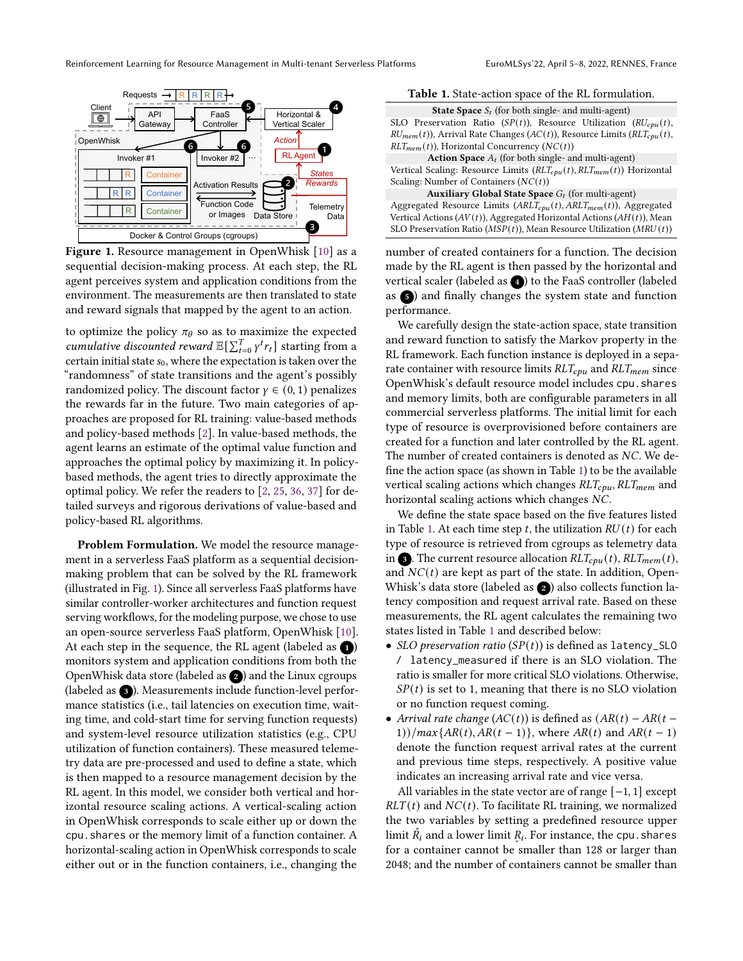<span id="page-2-0"></span>

Figure 1. Resource management in OpenWhisk [\[10\]](#page-8-16) as a sequential decision-making process. At each step, the RL agent perceives system and application conditions from the environment. The measurements are then translated to state and reward signals that mapped by the agent to an action.

to optimize the policy  $\pi_{\theta}$  so as to maximize the expected *cumulative discounted reward*  $\mathbb{E}[\sum_{t=0}^{T} \gamma^{t} r_{t}]$  starting from a certain initial state  $s_0$ , where the expectation is taken over the "randomness" of state transitions and the agent's possibly randomized policy. The discount factor  $\gamma \in (0, 1)$  penalizes the rewards far in the future. Two main categories of approaches are proposed for RL training: value-based methods and policy-based methods [\[2\]](#page-7-2). In value-based methods, the agent learns an estimate of the optimal value function and approaches the optimal policy by maximizing it. In policybased methods, the agent tries to directly approximate the optimal policy. We refer the readers to [\[2,](#page-7-2) [25,](#page-8-19) [36,](#page-8-20) [37\]](#page-8-21) for detailed surveys and rigorous derivations of value-based and policy-based RL algorithms.

Problem Formulation. We model the resource management in a serverless FaaS platform as a sequential decisionmaking problem that can be solved by the RL framework (illustrated in Fig. [1\)](#page-2-0). Since all serverless FaaS platforms have similar controller-worker architectures and function request serving workflows, for the modeling purpose, we chose to use an open-source serverless FaaS platform, OpenWhisk [\[10\]](#page-8-16). At each step in the sequence, the RL agent (labeled as  $\bigcirc$  ) monitors system and application conditions from both the OpenWhisk data store (labeled as  $\bigcirc$ ) and the Linux cgroups (labeled as 3). Measurements include function-level performance statistics (i.e., tail latencies on execution time, waiting time, and cold-start time for serving function requests) and system-level resource utilization statistics (e.g., CPU utilization of function containers). These measured telemetry data are pre-processed and used to define a state, which is then mapped to a resource management decision by the RL agent. In this model, we consider both vertical and horizontal resource scaling actions. A vertical-scaling action in OpenWhisk corresponds to scale either up or down the cpu.shares or the memory limit of a function container. A horizontal-scaling action in OpenWhisk corresponds to scale either out or in the function containers, i.e., changing the

### <span id="page-2-1"></span>Table 1. State-action space of the RL formulation.

**State Space**  $S_t$  (for both single- and multi-agent) SLO Preservation Ratio ( $SP(t)$ ), Resource Utilization ( $RU_{cpu}(t)$ ,  $RU_{mem}(t)$ ), Arrival Rate Changes ( $AC(t)$ ), Resource Limits ( $RLT_{cpu}(t)$ ,  $RLT_{mem}(t)$ ), Horizontal Concurrency ( $NC(t)$ )

Action Space  $A_t$  (for both single- and multi-agent)

Vertical Scaling: Resource Limits  $(RLT_{cpu}(t), RLT_{mem}(t))$  Horizontal Scaling: Number of Containers  $(NC(t))$ 

Auxiliary Global State Space  $G_t$  (for multi-agent) Aggregated Resource Limits  $(ARLT_{cpu}(t), ARLT_{mem}(t))$ , Aggregated Vertical Actions  $(AV(t))$ , Aggregated Horizontal Actions  $(AH(t))$ , Mean SLO Preservation Ratio ( $MSP(t)$ ), Mean Resource Utilization ( $MRU(t)$ )

number of created containers for a function. The decision made by the RL agent is then passed by the horizontal and vertical scaler (labeled as 4 ) to the FaaS controller (labeled as <sup>5</sup> ) and finally changes the system state and function performance.

We carefully design the state-action space, state transition and reward function to satisfy the Markov property in the RL framework. Each function instance is deployed in a separate container with resource limits  $RLT_{cpu}$  and  $RLT_{mem}$  since OpenWhisk's default resource model includes cpu.shares and memory limits, both are configurable parameters in all commercial serverless platforms. The initial limit for each type of resource is overprovisioned before containers are created for a function and later controlled by the RL agent. The number of created containers is denoted as  $NC$ . We define the action space (as shown in Table [1\)](#page-2-1) to be the available vertical scaling actions which changes  $RLT_{cpu}$ ,  $RLT_{mem}$  and horizontal scaling actions which changes  $NC$ .

We define the state space based on the five features listed in Table [1.](#page-2-1) At each time step t, the utilization  $RU(t)$  for each type of resource is retrieved from cgroups as telemetry data in 3. The current resource allocation  $RLT_{cpu}(t)$ ,  $RLT_{mem}(t)$ , and  $NC(t)$  are kept as part of the state. In addition, Open-Whisk's data store (labeled as 2) also collects function latency composition and request arrival rate. Based on these measurements, the RL agent calculates the remaining two states listed in Table [1](#page-2-1) and described below:

- SLO preservation ratio ( $SP(t)$ ) is defined as latency\_SLO / latency\_measured if there is an SLO violation. The ratio is smaller for more critical SLO violations. Otherwise,  $SP(t)$  is set to 1, meaning that there is no SLO violation or no function request coming.
- Arrival rate change ( $AC(t)$ ) is defined as  $(AR(t) AR(t -$ 1))/ $max\{AR(t), AR(t - 1)\}$ , where  $AR(t)$  and  $AR(t - 1)$ denote the function request arrival rates at the current and previous time steps, respectively. A positive value indicates an increasing arrival rate and vice versa.

All variables in the state vector are of range [−1, 1] except  $RLT(t)$  and  $NC(t)$ . To facilitate RL training, we normalized the two variables by setting a predefined resource upper limit  $\hat{R_i}$  and a lower limit  $R_i.$  For instance, the <code>cpu.shares</code> for a container cannot be smaller than 128 or larger than 2048; and the number of containers cannot be smaller than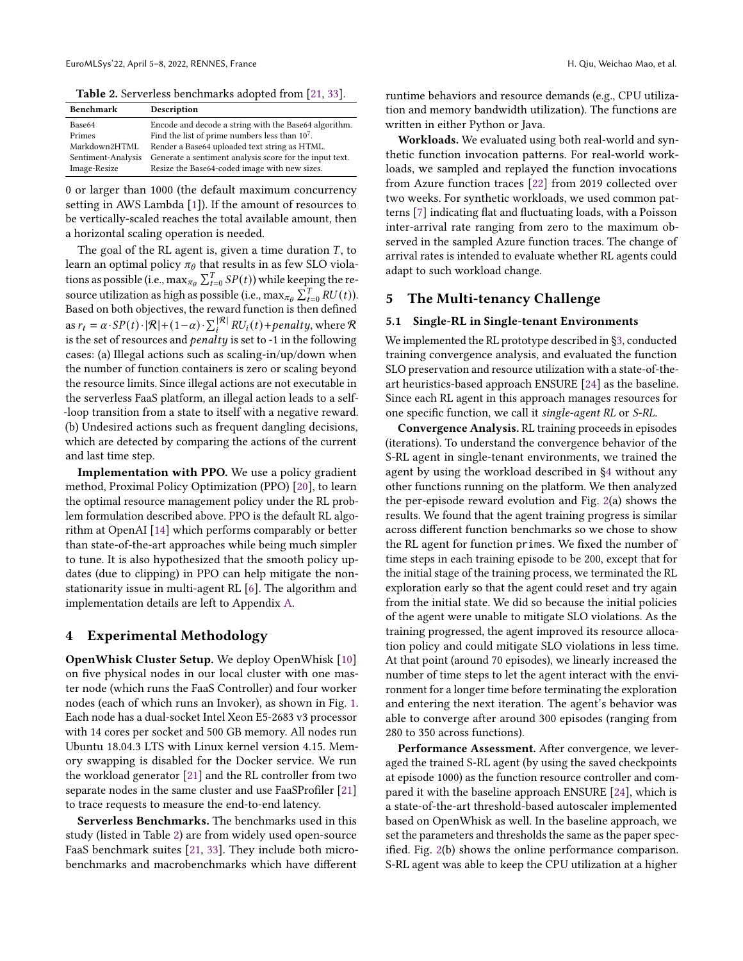<span id="page-3-1"></span>Table 2. Serverless benchmarks adopted from [\[21,](#page-8-22) [33\]](#page-8-23).

| <b>Benchmark</b>   | Description                                             |  |  |
|--------------------|---------------------------------------------------------|--|--|
| Base <sub>64</sub> | Encode and decode a string with the Base64 algorithm.   |  |  |
| Primes             | Find the list of prime numbers less than $107$ .        |  |  |
| Markdown2HTML      | Render a Base64 uploaded text string as HTML.           |  |  |
| Sentiment-Analysis | Generate a sentiment analysis score for the input text. |  |  |
| Image-Resize       | Resize the Base64-coded image with new sizes.           |  |  |

0 or larger than 1000 (the default maximum concurrency setting in AWS Lambda [\[1\]](#page-7-3)). If the amount of resources to be vertically-scaled reaches the total available amount, then a horizontal scaling operation is needed.

The goal of the RL agent is, given a time duration  $T$ , to learn an optimal policy  $\pi_{\theta}$  that results in as few SLO violations as possible (i.e.,  $\max_{\pi_\theta} \sum_{t=0}^T SP(t)$ ) while keeping the resource utilization as high as possible (i.e.,  $\max_{\pi_{\theta}} \sum_{t=0}^{T} RU(t)$ ). Based on both objectives, the reward function is then defined as  $r_t = \alpha \cdot SP(t) \cdot |\mathcal{R}| + (1-\alpha) \cdot \sum_i^{|\mathcal{R}|} RU_i(t) + penalty$ , where  $\mathcal R$ is the set of resources and *penalty* is set to -1 in the following cases: (a) Illegal actions such as scaling-in/up/down when the number of function containers is zero or scaling beyond the resource limits. Since illegal actions are not executable in the serverless FaaS platform, an illegal action leads to a self- -loop transition from a state to itself with a negative reward. (b) Undesired actions such as frequent dangling decisions, which are detected by comparing the actions of the current and last time step.

Implementation with PPO. We use a policy gradient method, Proximal Policy Optimization (PPO) [\[20\]](#page-8-15), to learn the optimal resource management policy under the RL problem formulation described above. PPO is the default RL algorithm at OpenAI [\[14\]](#page-8-24) which performs comparably or better than state-of-the-art approaches while being much simpler to tune. It is also hypothesized that the smooth policy updates (due to clipping) in PPO can help mitigate the nonstationarity issue in multi-agent RL [\[6\]](#page-8-25). The algorithm and implementation details are left to Appendix [A.](#page-6-0)

# <span id="page-3-2"></span>4 Experimental Methodology

OpenWhisk Cluster Setup. We deploy OpenWhisk [\[10\]](#page-8-16) on five physical nodes in our local cluster with one master node (which runs the FaaS Controller) and four worker nodes (each of which runs an Invoker), as shown in Fig. [1.](#page-2-0) Each node has a dual-socket Intel Xeon E5-2683 v3 processor with 14 cores per socket and 500 GB memory. All nodes run Ubuntu 18.04.3 LTS with Linux kernel version 4.15. Memory swapping is disabled for the Docker service. We run the workload generator [\[21\]](#page-8-22) and the RL controller from two separate nodes in the same cluster and use FaaSProfiler [\[21\]](#page-8-22) to trace requests to measure the end-to-end latency.

Serverless Benchmarks. The benchmarks used in this study (listed in Table [2\)](#page-3-1) are from widely used open-source FaaS benchmark suites [\[21,](#page-8-22) [33\]](#page-8-23). They include both microbenchmarks and macrobenchmarks which have different

runtime behaviors and resource demands (e.g., CPU utilization and memory bandwidth utilization). The functions are written in either Python or Java.

Workloads. We evaluated using both real-world and synthetic function invocation patterns. For real-world workloads, we sampled and replayed the function invocations from Azure function traces [\[22\]](#page-8-2) from 2019 collected over two weeks. For synthetic workloads, we used common patterns [\[7\]](#page-8-26) indicating flat and fluctuating loads, with a Poisson inter-arrival rate ranging from zero to the maximum observed in the sampled Azure function traces. The change of arrival rates is intended to evaluate whether RL agents could adapt to such workload change.

# 5 The Multi-tenancy Challenge

## <span id="page-3-0"></span>5.1 Single-RL in Single-tenant Environments

We implemented the RL prototype described in [§3,](#page-1-0) conducted training convergence analysis, and evaluated the function SLO preservation and resource utilization with a state-of-theart heuristics-based approach ENSURE [\[24\]](#page-8-27) as the baseline. Since each RL agent in this approach manages resources for one specific function, we call it single-agent RL or S-RL.

Convergence Analysis. RL training proceeds in episodes (iterations). To understand the convergence behavior of the S-RL agent in single-tenant environments, we trained the agent by using the workload described in [§4](#page-3-2) without any other functions running on the platform. We then analyzed the per-episode reward evolution and Fig. [2\(](#page-4-0)a) shows the results. We found that the agent training progress is similar across different function benchmarks so we chose to show the RL agent for function primes. We fixed the number of time steps in each training episode to be 200, except that for the initial stage of the training process, we terminated the RL exploration early so that the agent could reset and try again from the initial state. We did so because the initial policies of the agent were unable to mitigate SLO violations. As the training progressed, the agent improved its resource allocation policy and could mitigate SLO violations in less time. At that point (around 70 episodes), we linearly increased the number of time steps to let the agent interact with the environment for a longer time before terminating the exploration and entering the next iteration. The agent's behavior was able to converge after around 300 episodes (ranging from 280 to 350 across functions).

Performance Assessment. After convergence, we leveraged the trained S-RL agent (by using the saved checkpoints at episode 1000) as the function resource controller and compared it with the baseline approach ENSURE [\[24\]](#page-8-27), which is a state-of-the-art threshold-based autoscaler implemented based on OpenWhisk as well. In the baseline approach, we set the parameters and thresholds the same as the paper specified. Fig. [2\(](#page-4-0)b) shows the online performance comparison. S-RL agent was able to keep the CPU utilization at a higher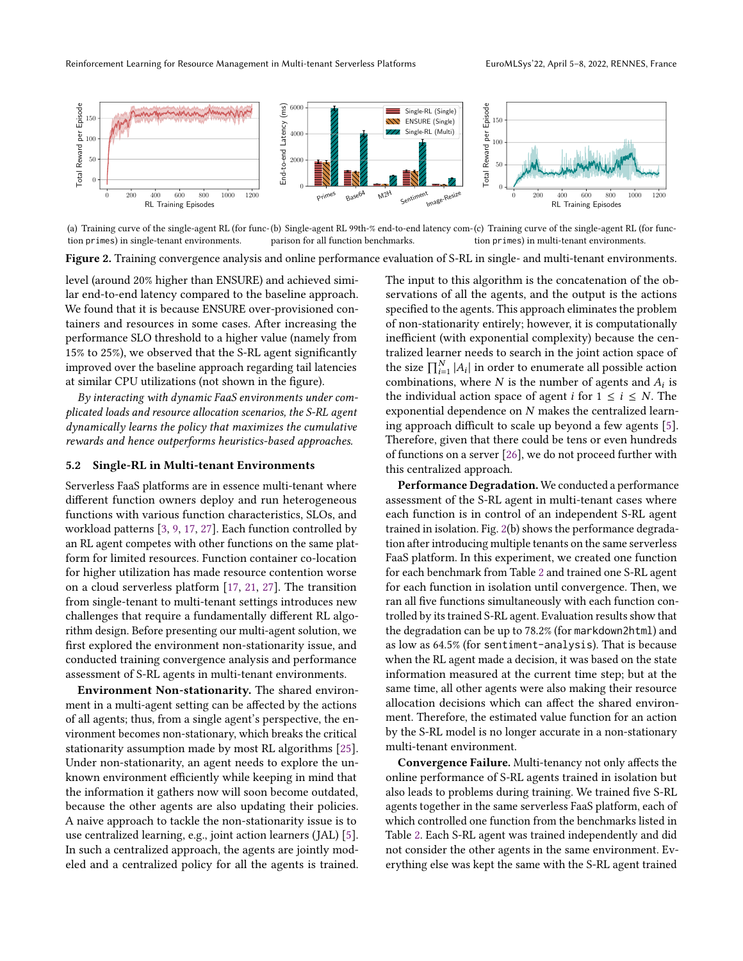<span id="page-4-0"></span>

(a) Training curve of the single-agent RL (for func-(b) Single-agent RL 99th-% end-to-end latency com-(c) Training curve of the single-agent RL (for function primes) in single-tenant environments. parison for all function benchmarks. tion primes) in multi-tenant environments.

Figure 2. Training convergence analysis and online performance evaluation of S-RL in single- and multi-tenant environments.

level (around 20% higher than ENSURE) and achieved similar end-to-end latency compared to the baseline approach. We found that it is because ENSURE over-provisioned containers and resources in some cases. After increasing the performance SLO threshold to a higher value (namely from 15% to 25%), we observed that the S-RL agent significantly improved over the baseline approach regarding tail latencies at similar CPU utilizations (not shown in the figure).

By interacting with dynamic FaaS environments under complicated loads and resource allocation scenarios, the S-RL agent dynamically learns the policy that maximizes the cumulative rewards and hence outperforms heuristics-based approaches.

## 5.2 Single-RL in Multi-tenant Environments

Serverless FaaS platforms are in essence multi-tenant where different function owners deploy and run heterogeneous functions with various function characteristics, SLOs, and workload patterns [\[3,](#page-7-0) [9,](#page-8-28) [17,](#page-8-1) [27\]](#page-8-3). Each function controlled by an RL agent competes with other functions on the same platform for limited resources. Function container co-location for higher utilization has made resource contention worse on a cloud serverless platform [\[17,](#page-8-1) [21,](#page-8-22) [27\]](#page-8-3). The transition from single-tenant to multi-tenant settings introduces new challenges that require a fundamentally different RL algorithm design. Before presenting our multi-agent solution, we first explored the environment non-stationarity issue, and conducted training convergence analysis and performance assessment of S-RL agents in multi-tenant environments.

Environment Non-stationarity. The shared environment in a multi-agent setting can be affected by the actions of all agents; thus, from a single agent's perspective, the environment becomes non-stationary, which breaks the critical stationarity assumption made by most RL algorithms [\[25\]](#page-8-19). Under non-stationarity, an agent needs to explore the unknown environment efficiently while keeping in mind that the information it gathers now will soon become outdated, because the other agents are also updating their policies. A naive approach to tackle the non-stationarity issue is to use centralized learning, e.g., joint action learners (JAL) [\[5\]](#page-8-29). In such a centralized approach, the agents are jointly modeled and a centralized policy for all the agents is trained.

The input to this algorithm is the concatenation of the observations of all the agents, and the output is the actions specified to the agents. This approach eliminates the problem of non-stationarity entirely; however, it is computationally inefficient (with exponential complexity) because the centralized learner needs to search in the joint action space of the size  $\prod_{i=1}^{N} |A_i|$  in order to enumerate all possible action combinations, where  $N$  is the number of agents and  $A_i$  is the individual action space of agent *i* for  $1 \le i \le N$ . The exponential dependence on  $N$  makes the centralized learning approach difficult to scale up beyond a few agents [\[5\]](#page-8-29). Therefore, given that there could be tens or even hundreds of functions on a server [\[26\]](#page-8-30), we do not proceed further with this centralized approach.

Performance Degradation. We conducted a performance assessment of the S-RL agent in multi-tenant cases where each function is in control of an independent S-RL agent trained in isolation. Fig. [2\(](#page-4-0)b) shows the performance degradation after introducing multiple tenants on the same serverless FaaS platform. In this experiment, we created one function for each benchmark from Table [2](#page-3-1) and trained one S-RL agent for each function in isolation until convergence. Then, we ran all five functions simultaneously with each function controlled by its trained S-RL agent. Evaluation results show that the degradation can be up to 78.2% (for markdown2html) and as low as 64.5% (for sentiment-analysis). That is because when the RL agent made a decision, it was based on the state information measured at the current time step; but at the same time, all other agents were also making their resource allocation decisions which can affect the shared environment. Therefore, the estimated value function for an action by the S-RL model is no longer accurate in a non-stationary multi-tenant environment.

Convergence Failure. Multi-tenancy not only affects the online performance of S-RL agents trained in isolation but also leads to problems during training. We trained five S-RL agents together in the same serverless FaaS platform, each of which controlled one function from the benchmarks listed in Table [2.](#page-3-1) Each S-RL agent was trained independently and did not consider the other agents in the same environment. Everything else was kept the same with the S-RL agent trained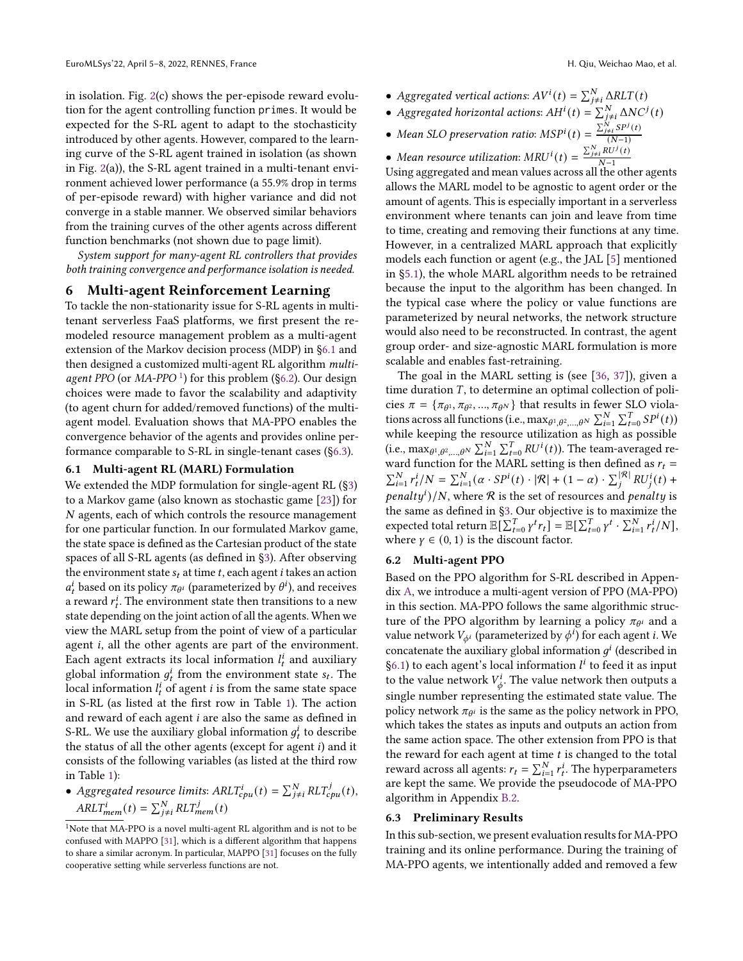in isolation. Fig. [2\(](#page-4-0)c) shows the per-episode reward evolution for the agent controlling function primes. It would be expected for the S-RL agent to adapt to the stochasticity introduced by other agents. However, compared to the learning curve of the S-RL agent trained in isolation (as shown in Fig. [2\(](#page-4-0)a)), the S-RL agent trained in a multi-tenant environment achieved lower performance (a 55.9% drop in terms of per-episode reward) with higher variance and did not converge in a stable manner. We observed similar behaviors from the training curves of the other agents across different function benchmarks (not shown due to page limit).

System support for many-agent RL controllers that provides both training convergence and performance isolation is needed.

# 6 Multi-agent Reinforcement Learning

To tackle the non-stationarity issue for S-RL agents in multitenant serverless FaaS platforms, we first present the remodeled resource management problem as a multi-agent extension of the Markov decision process (MDP) in [§6.1](#page-5-2) and then designed a customized multi-agent RL algorithm multiagent PPO (or  $MA$ -PPO<sup>[1](#page-5-3)</sup>) for this problem ([§6.2\)](#page-5-0). Our design choices were made to favor the scalability and adaptivity (to agent churn for added/removed functions) of the multiagent model. Evaluation shows that MA-PPO enables the convergence behavior of the agents and provides online performance comparable to S-RL in single-tenant cases ([§6.3\)](#page-5-1).

#### <span id="page-5-2"></span>6.1 Multi-agent RL (MARL) Formulation

We extended the MDP formulation for single-agent RL ([§3\)](#page-1-0) to a Markov game (also known as stochastic game [\[23\]](#page-8-31)) for  $N$  agents, each of which controls the resource management for one particular function. In our formulated Markov game, the state space is defined as the Cartesian product of the state spaces of all S-RL agents (as defined in [§3\)](#page-1-0). After observing the environment state  $s_t$  at time t, each agent i takes an action  $a_t^i$  based on its policy  $\pi_{\theta^i}$  (parameterized by  $\theta^i$ ), and receives a reward  $r_t^i$ . The environment state then transitions to a new state depending on the joint action of all the agents. When we view the MARL setup from the point of view of a particular agent  $i$ , all the other agents are part of the environment. Each agent extracts its local information  $l_t^i$  and auxiliary global information  $g_t^i$  from the environment state  $s_t$ . The local information  $l_t^i$  of agent *i* is from the same state space in S-RL (as listed at the first row in Table [1\)](#page-2-1). The action and reward of each agent  $i$  are also the same as defined in S-RL. We use the auxiliary global information  $g_t^i$  to describe the status of all the other agents (except for agent  $i$ ) and it consists of the following variables (as listed at the third row in Table [1\)](#page-2-1):

• Aggregated resource limits:  $ARLT_{cpu}^i(t) = \sum_{j \neq i}^{N} RLT_{cpu}^j(t)$ ,  $ARLT<sub>mem</sub><sup>i</sup>(t) = \sum_{j\neq i}^{N} RLT<sub>mem</sub><sup>j</sup>(t)$ 

- Aggregated vertical actions:  $AV^{i}(t) = \sum_{j \neq i}^{N} \Delta RLT(t)$
- Aggregated horizontal actions:  $AH^{i}(t) = \sum_{j \neq i}^{N} \Delta NC^{j}(t)$
- Mean SLO preservation ratio:  $MSP<sup>i</sup>(t) = \frac{\sum_{j=i}^{N} SP<sup>j</sup>(t)}{(N-1)}$  $(N-1)$
- Mean resource utilization:  $MRU^{i}(t) = \frac{\sum_{j\neq i}^{N} RU^{j}(t)}{N-1}$  $N-1$

Using aggregated and mean values across all the other agents allows the MARL model to be agnostic to agent order or the amount of agents. This is especially important in a serverless environment where tenants can join and leave from time to time, creating and removing their functions at any time. However, in a centralized MARL approach that explicitly models each function or agent (e.g., the JAL [\[5\]](#page-8-29) mentioned in [§5.1\)](#page-3-0), the whole MARL algorithm needs to be retrained because the input to the algorithm has been changed. In the typical case where the policy or value functions are parameterized by neural networks, the network structure would also need to be reconstructed. In contrast, the agent group order- and size-agnostic MARL formulation is more scalable and enables fast-retraining.

The goal in the MARL setting is (see [\[36,](#page-8-20) [37\]](#page-8-21)), given a time duration  $T$ , to determine an optimal collection of policies  $\pi = {\pi_{\theta^1}, \pi_{\theta^2}, ..., \pi_{\theta^N}}$  that results in fewer SLO violations across all functions (i.e.,  $\max_{\theta^1, \theta^2, ..., \theta^N} \sum_{i=1}^N \sum_{t=0}^T SP^i(t)$ ) while keeping the resource utilization as high as possible (i.e.,  $\max_{\theta^1, \theta^2, ..., \theta^N} \sum_{i=1}^N \sum_{t=0}^T RU^i(t)$ ). The team-averaged reward function for the MARL setting is then defined as  $r_t =$  $\sum_{i=1}^{N} r_t^i/N = \sum_{i=1}^{N} (\alpha \cdot SP^i(t) \cdot |\mathcal{R}| + (1 - \alpha) \cdot \sum_j^{|\mathcal{R}|} RU_j^i(t) +$ penalty<sup>i</sup>)/N, where R is the set of resources and penalty is the same as defined in [§3.](#page-1-0) Our objective is to maximize the expected total return  $\mathbb{E}[\sum_{t=0}^{T} \gamma^t r_t] = \mathbb{E}[\sum_{t=0}^{T} \gamma^t \cdot \sum_{i=1}^{N} r_i^i / N],$ where  $\gamma \in (0, 1)$  is the discount factor.

## <span id="page-5-0"></span>6.2 Multi-agent PPO

Based on the PPO algorithm for S-RL described in Appendix [A,](#page-6-0) we introduce a multi-agent version of PPO (MA-PPO) in this section. MA-PPO follows the same algorithmic structure of the PPO algorithm by learning a policy  $\pi_{\theta_i}$  and a value network  $V_{\phi^i}$  (parameterized by  $\phi^i$ ) for each agent *i*. We concatenate the auxiliary global information  $g^i$  (described in [§6.1\)](#page-5-2) to each agent's local information  $l^i$  to feed it as input to the value network  $V^i_\phi$ . The value network then outputs a single number representing the estimated state value. The policy network  $\pi_{\theta}$  is the same as the policy network in PPO, which takes the states as inputs and outputs an action from the same action space. The other extension from PPO is that the reward for each agent at time  $t$  is changed to the total reward across all agents:  $r_t = \sum_{i=1}^{N} r_t^i$ . The hyperparameters are kept the same. We provide the pseudocode of MA-PPO algorithm in Appendix [B.2.](#page-7-4)

### <span id="page-5-1"></span>6.3 Preliminary Results

In this sub-section, we present evaluation results for MA-PPO training and its online performance. During the training of MA-PPO agents, we intentionally added and removed a few

<span id="page-5-3"></span><sup>&</sup>lt;sup>1</sup>Note that MA-PPO is a novel multi-agent RL algorithm and is not to be confused with MAPPO [\[31\]](#page-8-32), which is a different algorithm that happens to share a similar acronym. In particular, MAPPO [\[31\]](#page-8-32) focuses on the fully cooperative setting while serverless functions are not.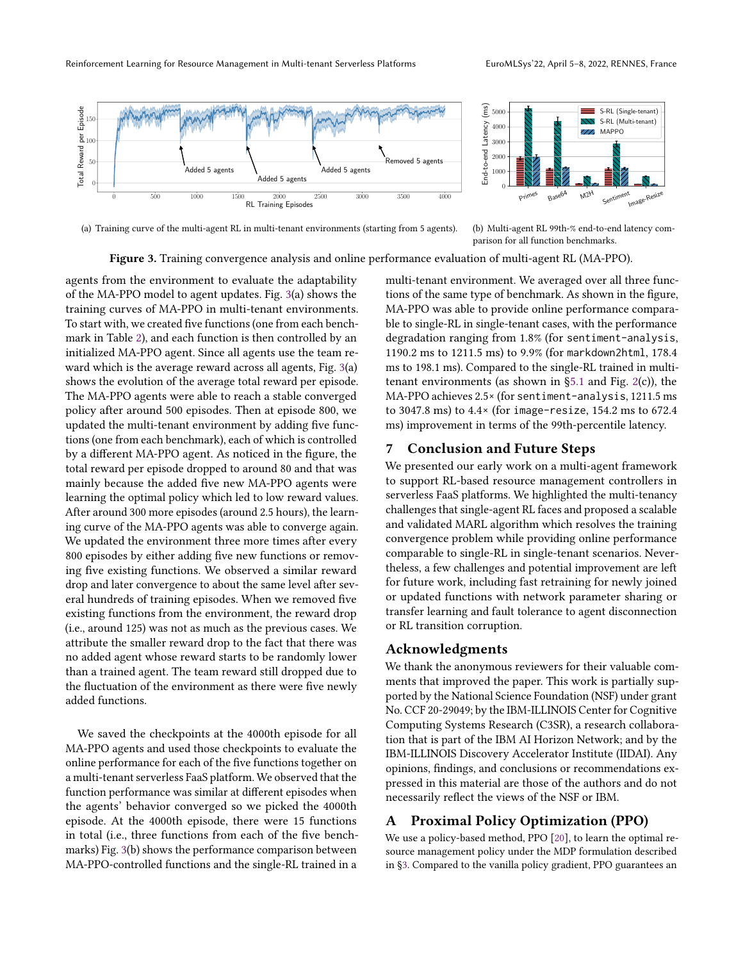<span id="page-6-1"></span>

(a) Training curve of the multi-agent RL in multi-tenant environments (starting from 5 agents).

(b) Multi-agent RL 99th-% end-to-end latency comparison for all function benchmarks.

Figure 3. Training convergence analysis and online performance evaluation of multi-agent RL (MA-PPO).

agents from the environment to evaluate the adaptability of the MA-PPO model to agent updates. Fig. [3\(](#page-6-1)a) shows the training curves of MA-PPO in multi-tenant environments. To start with, we created five functions (one from each benchmark in Table [2\)](#page-3-1), and each function is then controlled by an initialized MA-PPO agent. Since all agents use the team reward which is the average reward across all agents, Fig. [3\(](#page-6-1)a) shows the evolution of the average total reward per episode. The MA-PPO agents were able to reach a stable converged policy after around 500 episodes. Then at episode 800, we updated the multi-tenant environment by adding five functions (one from each benchmark), each of which is controlled by a different MA-PPO agent. As noticed in the figure, the total reward per episode dropped to around 80 and that was mainly because the added five new MA-PPO agents were learning the optimal policy which led to low reward values. After around 300 more episodes (around 2.5 hours), the learning curve of the MA-PPO agents was able to converge again. We updated the environment three more times after every 800 episodes by either adding five new functions or removing five existing functions. We observed a similar reward drop and later convergence to about the same level after several hundreds of training episodes. When we removed five existing functions from the environment, the reward drop (i.e., around 125) was not as much as the previous cases. We attribute the smaller reward drop to the fact that there was no added agent whose reward starts to be randomly lower than a trained agent. The team reward still dropped due to the fluctuation of the environment as there were five newly added functions.

We saved the checkpoints at the 4000th episode for all MA-PPO agents and used those checkpoints to evaluate the online performance for each of the five functions together on a multi-tenant serverless FaaS platform. We observed that the function performance was similar at different episodes when the agents' behavior converged so we picked the 4000th episode. At the 4000th episode, there were 15 functions in total (i.e., three functions from each of the five benchmarks) Fig. [3\(](#page-6-1)b) shows the performance comparison between MA-PPO-controlled functions and the single-RL trained in a

multi-tenant environment. We averaged over all three functions of the same type of benchmark. As shown in the figure, MA-PPO was able to provide online performance comparable to single-RL in single-tenant cases, with the performance degradation ranging from 1.8% (for sentiment-analysis, 1190.2 ms to 1211.5 ms) to 9.9% (for markdown2html, 178.4 ms to 198.1 ms). Compared to the single-RL trained in multitenant environments (as shown in  $\S$ 5.1 and Fig. [2\(](#page-4-0)c)), the MA-PPO achieves 2.5× (for sentiment-analysis, 1211.5 ms to 3047.8 ms) to 4.4× (for image-resize, 154.2 ms to 672.4 ms) improvement in terms of the 99th-percentile latency.

# 7 Conclusion and Future Steps

We presented our early work on a multi-agent framework to support RL-based resource management controllers in serverless FaaS platforms. We highlighted the multi-tenancy challenges that single-agent RL faces and proposed a scalable and validated MARL algorithm which resolves the training convergence problem while providing online performance comparable to single-RL in single-tenant scenarios. Nevertheless, a few challenges and potential improvement are left for future work, including fast retraining for newly joined or updated functions with network parameter sharing or transfer learning and fault tolerance to agent disconnection or RL transition corruption.

# Acknowledgments

We thank the anonymous reviewers for their valuable comments that improved the paper. This work is partially supported by the National Science Foundation (NSF) under grant No. CCF 20-29049; by the IBM-ILLINOIS Center for Cognitive Computing Systems Research (C3SR), a research collaboration that is part of the IBM AI Horizon Network; and by the IBM-ILLINOIS Discovery Accelerator Institute (IIDAI). Any opinions, findings, and conclusions or recommendations expressed in this material are those of the authors and do not necessarily reflect the views of the NSF or IBM.

# <span id="page-6-0"></span>A Proximal Policy Optimization (PPO)

We use a policy-based method, PPO [\[20\]](#page-8-15), to learn the optimal resource management policy under the MDP formulation described in [§3.](#page-1-0) Compared to the vanilla policy gradient, PPO guarantees an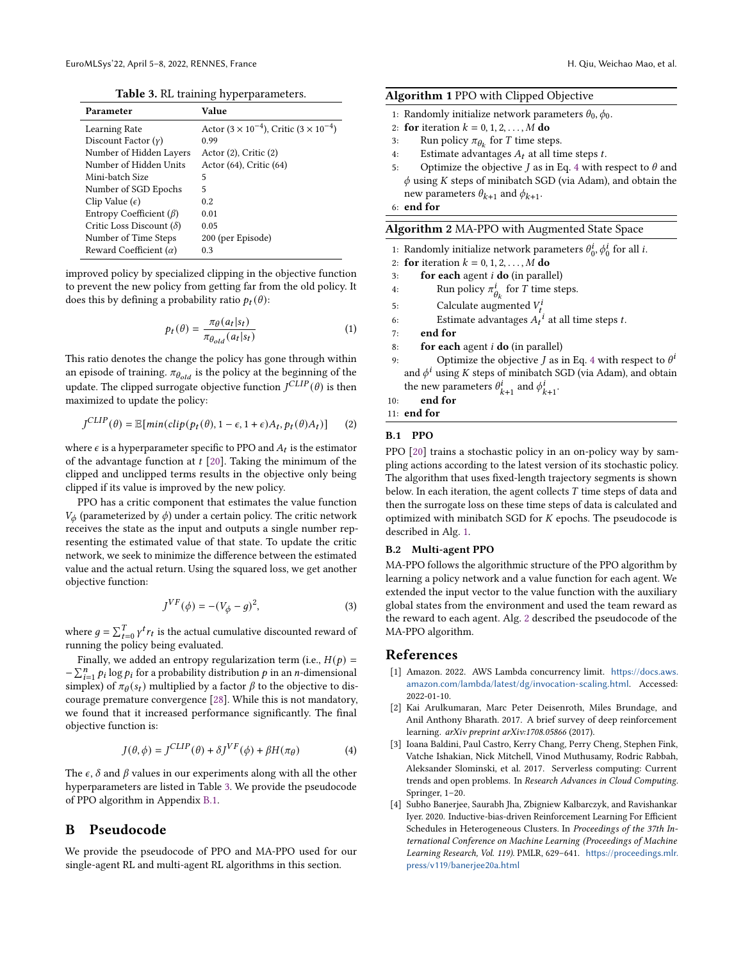Table 3. RL training hyperparameters.

<span id="page-7-5"></span>

| Parameter                       | Value                                                    |
|---------------------------------|----------------------------------------------------------|
| Learning Rate                   | Actor $(3 \times 10^{-4})$ , Critic $(3 \times 10^{-4})$ |
| Discount Factor $(y)$           | 0.99                                                     |
| Number of Hidden Layers         | Actor $(2)$ , Critic $(2)$                               |
| Number of Hidden Units          | Actor (64), Critic (64)                                  |
| Mini-batch Size                 | 5                                                        |
| Number of SGD Epochs            | 5                                                        |
| Clip Value $(\epsilon)$         | 02                                                       |
| Entropy Coefficient $(\beta)$   | 0.01                                                     |
| Critic Loss Discount $(\delta)$ | 0.05                                                     |
| Number of Time Steps            | 200 (per Episode)                                        |
| Reward Coefficient $(\alpha)$   | 0.3                                                      |

improved policy by specialized clipping in the objective function to prevent the new policy from getting far from the old policy. It does this by defining a probability ratio  $p_t(\theta)$ :

$$
p_t(\theta) = \frac{\pi_\theta(a_t|s_t)}{\pi_{\theta_{old}}(a_t|s_t)}
$$
(1)

This ratio denotes the change the policy has gone through within an episode of training.  $\pi_{\theta_{old}}$  is the policy at the beginning of the update. The clipped surrogate objective function  $J^{CLIP}(\theta)$  is then maximized to update the policy:

$$
J^{CLIP}(\theta) = \mathbb{E}[\min(clip(p_t(\theta), 1 - \epsilon, 1 + \epsilon)A_t, p_t(\theta)A_t)] \qquad (2)
$$

where  $\epsilon$  is a hyperparameter specific to PPO and  $A_t$  is the estimator of the advantage function at  $t$  [\[20\]](#page-8-15). Taking the minimum of the clipped and unclipped terms results in the objective only being clipped if its value is improved by the new policy.

PPO has a critic component that estimates the value function  $V_{\phi}$  (parameterized by  $\phi$ ) under a certain policy. The critic network receives the state as the input and outputs a single number representing the estimated value of that state. To update the critic network, we seek to minimize the difference between the estimated value and the actual return. Using the squared loss, we get another objective function:

$$
J^{VF}(\phi) = -(V_{\phi} - g)^2,
$$
 (3)

where  $g = \sum_{t=0}^{T} \gamma^t r_t$  is the actual cumulative discounted reward of running the policy being evaluated.

Finally, we added an entropy regularization term (i.e.,  $H(p)$  =  $-\sum_{i=1}^{n} p_i \log p_i$  for a probability distribution p in an n-dimensional simplex) of  $\pi_{\theta}(s_t)$  multiplied by a factor  $\beta$  to the objective to discourage premature convergence [\[28\]](#page-8-33). While this is not mandatory, we found that it increased performance significantly. The final objective function is:

<span id="page-7-7"></span>
$$
J(\theta, \phi) = J^{CLIP}(\theta) + \delta J^{VF}(\phi) + \beta H(\pi_{\theta})
$$
 (4)

The  $\epsilon$ ,  $\delta$  and  $\beta$  values in our experiments along with all the other hyperparameters are listed in Table [3.](#page-7-5) We provide the pseudocode of PPO algorithm in Appendix [B.1.](#page-7-6)

# B Pseudocode

<span id="page-7-6"></span>We provide the pseudocode of PPO and MA-PPO used for our single-agent RL and multi-agent RL algorithms in this section.

<span id="page-7-8"></span>

| Algorithm 1 PPO with Clipped Objective |  |  |  |  |  |
|----------------------------------------|--|--|--|--|--|
|----------------------------------------|--|--|--|--|--|

|  |  |  |  | 1: Randomly initialize network parameters $\theta_0$ , $\phi_0$ . |  |
|--|--|--|--|-------------------------------------------------------------------|--|
|--|--|--|--|-------------------------------------------------------------------|--|

- 2: **for** iteration  $k = 0, 1, 2, \ldots, M$  **do**
- 3: Run policy  $\pi_{\theta_k}$  for T time steps.
- 4: Estimate advantages  $A_t$  at all time steps  $t$ .
- 5: Optimize the objective  $J$  as in Eq. [4](#page-7-7) with respect to  $\theta$  and  $\phi$  using  $K$  steps of minibatch SGD (via Adam), and obtain the new parameters  $\theta_{k+1}$  and  $\phi_{k+1}$ .

```
6: end for
```
#### <span id="page-7-9"></span>Algorithm 2 MA-PPO with Augmented State Space

|  |  | 1: Randomly initialize network parameters $\theta_0^i$ , $\phi_0^i$ for all <i>i</i> . |  |  |
|--|--|----------------------------------------------------------------------------------------|--|--|
|  |  |                                                                                        |  |  |

- 2: for iteration  $k = 0, 1, 2, \ldots, M$  do
- 3: **for each** agent  $i$  **do** (in parallel)
- 4: Run policy  $\pi^i_{\theta_k}$  for T time steps.
- 5: Calculate augmented  $V_t^i$
- 6: Estimate advantages  $A_t^i$  at all time steps t.
- 7: end for
- 8: **for each** agent  $i$  **do** (in parallel)
- 9: Optimize the objective *J* as in Eq. [4](#page-7-7) with respect to  $\theta$ <sup>*i*</sup> and  $\phi^i$  using K steps of minibatch SGD (via Adam), and obtain the new parameters  $\theta_{k+1}^i$  and  $\phi_{k+1}^i$ .

10: end for

11: end for

#### B.1 PPO

PPO [\[20\]](#page-8-15) trains a stochastic policy in an on-policy way by sampling actions according to the latest version of its stochastic policy. The algorithm that uses fixed-length trajectory segments is shown below. In each iteration, the agent collects  $T$  time steps of data and then the surrogate loss on these time steps of data is calculated and optimized with minibatch SGD for  $K$  epochs. The pseudocode is described in Alg. [1.](#page-7-8)

#### <span id="page-7-4"></span>B.2 Multi-agent PPO

MA-PPO follows the algorithmic structure of the PPO algorithm by learning a policy network and a value function for each agent. We extended the input vector to the value function with the auxiliary global states from the environment and used the team reward as the reward to each agent. Alg. [2](#page-7-9) described the pseudocode of the MA-PPO algorithm.

#### References

- <span id="page-7-3"></span>[1] Amazon. 2022. AWS Lambda concurrency limit. [https://docs.aws.](https://docs.aws.amazon.com/lambda/latest/dg/invocation-scaling.html) [amazon.com/lambda/latest/dg/invocation-scaling.html](https://docs.aws.amazon.com/lambda/latest/dg/invocation-scaling.html). Accessed: 2022-01-10.
- <span id="page-7-2"></span>[2] Kai Arulkumaran, Marc Peter Deisenroth, Miles Brundage, and Anil Anthony Bharath. 2017. A brief survey of deep reinforcement learning. arXiv preprint arXiv:1708.05866 (2017).
- <span id="page-7-0"></span>[3] Ioana Baldini, Paul Castro, Kerry Chang, Perry Cheng, Stephen Fink, Vatche Ishakian, Nick Mitchell, Vinod Muthusamy, Rodric Rabbah, Aleksander Slominski, et al. 2017. Serverless computing: Current trends and open problems. In Research Advances in Cloud Computing. Springer, 1–20.
- <span id="page-7-1"></span>[4] Subho Banerjee, Saurabh Jha, Zbigniew Kalbarczyk, and Ravishankar Iyer. 2020. Inductive-bias-driven Reinforcement Learning For Efficient Schedules in Heterogeneous Clusters. In Proceedings of the 37th International Conference on Machine Learning (Proceedings of Machine Learning Research, Vol. 119). PMLR, 629–641. [https://proceedings.mlr.](https://proceedings.mlr.press/v119/banerjee20a.html) [press/v119/banerjee20a.html](https://proceedings.mlr.press/v119/banerjee20a.html)